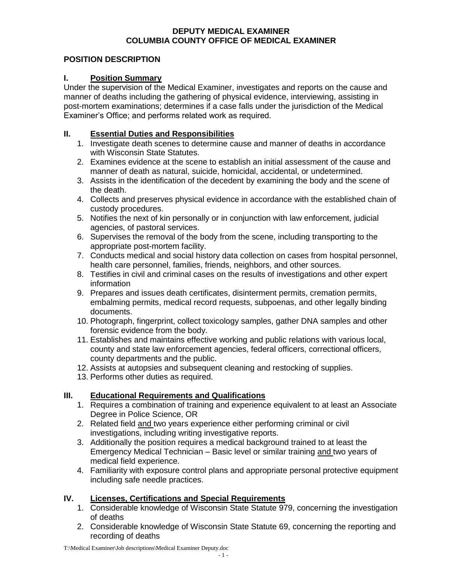#### **DEPUTY MEDICAL EXAMINER COLUMBIA COUNTY OFFICE OF MEDICAL EXAMINER**

#### **POSITION DESCRIPTION**

### **I. Position Summary**

Under the supervision of the Medical Examiner, investigates and reports on the cause and manner of deaths including the gathering of physical evidence, interviewing, assisting in post-mortem examinations; determines if a case falls under the jurisdiction of the Medical Examiner's Office; and performs related work as required.

### **II. Essential Duties and Responsibilities**

- 1. Investigate death scenes to determine cause and manner of deaths in accordance with Wisconsin State Statutes.
- 2. Examines evidence at the scene to establish an initial assessment of the cause and manner of death as natural, suicide, homicidal, accidental, or undetermined.
- 3. Assists in the identification of the decedent by examining the body and the scene of the death.
- 4. Collects and preserves physical evidence in accordance with the established chain of custody procedures.
- 5. Notifies the next of kin personally or in conjunction with law enforcement, judicial agencies, of pastoral services.
- 6. Supervises the removal of the body from the scene, including transporting to the appropriate post-mortem facility.
- 7. Conducts medical and social history data collection on cases from hospital personnel, health care personnel, families, friends, neighbors, and other sources.
- 8. Testifies in civil and criminal cases on the results of investigations and other expert information
- 9. Prepares and issues death certificates, disinterment permits, cremation permits, embalming permits, medical record requests, subpoenas, and other legally binding documents.
- 10. Photograph, fingerprint, collect toxicology samples, gather DNA samples and other forensic evidence from the body.
- 11. Establishes and maintains effective working and public relations with various local, county and state law enforcement agencies, federal officers, correctional officers, county departments and the public.
- 12. Assists at autopsies and subsequent cleaning and restocking of supplies.
- 13. Performs other duties as required.

# **III. Educational Requirements and Qualifications**

- 1. Requires a combination of training and experience equivalent to at least an Associate Degree in Police Science, OR
- 2. Related field and two years experience either performing criminal or civil investigations, including writing investigative reports.
- 3. Additionally the position requires a medical background trained to at least the Emergency Medical Technician – Basic level or similar training and two years of medical field experience.
- 4. Familiarity with exposure control plans and appropriate personal protective equipment including safe needle practices.

# **IV. Licenses, Certifications and Special Requirements**

- 1. Considerable knowledge of Wisconsin State Statute 979, concerning the investigation of deaths
- 2. Considerable knowledge of Wisconsin State Statute 69, concerning the reporting and recording of deaths